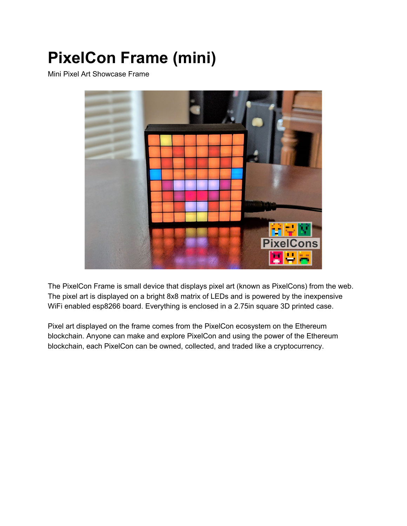# **PixelCon Frame (mini)**

Mini Pixel Art Showcase Frame



The PixelCon Frame is small device that displays pixel art (known as PixelCons) from the web. The pixel art is displayed on a bright 8x8 matrix of LEDs and is powered by the inexpensive WiFi enabled esp8266 board. Everything is enclosed in a 2.75in square 3D printed case.

Pixel art displayed on the frame comes from the PixelCon ecosystem on the Ethereum blockchain. Anyone can make and explore PixelCon and using the power of the Ethereum blockchain, each PixelCon can be owned, collected, and traded like a cryptocurrency.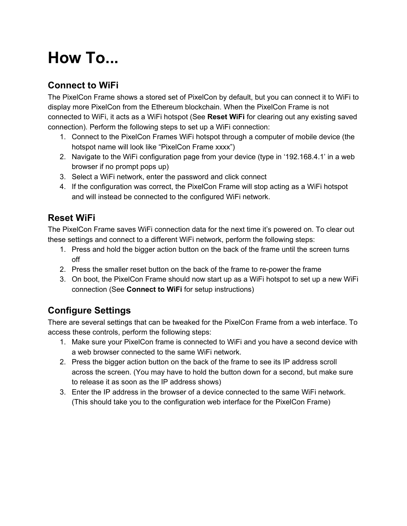# **How To...**

## **Connect to WiFi**

The PixelCon Frame shows a stored set of PixelCon by default, but you can connect it to WiFi to display more PixelCon from the Ethereum blockchain. When the PixelCon Frame is not connected to WiFi, it acts as a WiFi hotspot (See **Reset WiFi** for clearing out any existing saved connection). Perform the following steps to set up a WiFi connection:

- 1. Connect to the PixelCon Frames WiFi hotspot through a computer of mobile device (the hotspot name will look like "PixelCon Frame xxxx")
- 2. Navigate to the WiFi configuration page from your device (type in '192.168.4.1' in a web browser if no prompt pops up)
- 3. Select a WiFi network, enter the password and click connect
- 4. If the configuration was correct, the PixelCon Frame will stop acting as a WiFi hotspot and will instead be connected to the configured WiFi network.

### **Reset WiFi**

The PixelCon Frame saves WiFi connection data for the next time it's powered on. To clear out these settings and connect to a different WiFi network, perform the following steps:

- 1. Press and hold the bigger action button on the back of the frame until the screen turns off
- 2. Press the smaller reset button on the back of the frame to re-power the frame
- 3. On boot, the PixelCon Frame should now start up as a WiFi hotspot to set up a new WiFi connection (See **Connect to WiFi** for setup instructions)

## **Configure Settings**

There are several settings that can be tweaked for the PixelCon Frame from a web interface. To access these controls, perform the following steps:

- 1. Make sure your PixelCon frame is connected to WiFi and you have a second device with a web browser connected to the same WiFi network.
- 2. Press the bigger action button on the back of the frame to see its IP address scroll across the screen. (You may have to hold the button down for a second, but make sure to release it as soon as the IP address shows)
- 3. Enter the IP address in the browser of a device connected to the same WiFi network. (This should take you to the configuration web interface for the PixelCon Frame)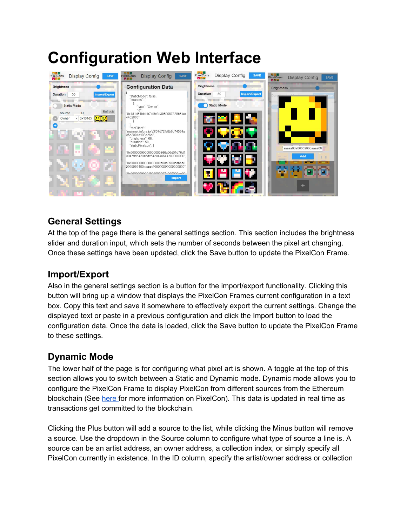## **Configuration Web Interface**



### **General Settings**

At the top of the page there is the general settings section. This section includes the brightness slider and duration input, which sets the number of seconds between the pixel art changing. Once these settings have been updated, click the Save button to update the PixelCon Frame.

### **Import/Export**

Also in the general settings section is a button for the import/export functionality. Clicking this button will bring up a window that displays the PixelCon Frames current configuration in a text box. Copy this text and save it somewhere to effectively export the current settings. Change the displayed text or paste in a previous configuration and click the Import button to load the configuration data. Once the data is loaded, click the Save button to update the PixelCon Frame to these settings.

## **Dynamic Mode**

The lower half of the page is for configuring what pixel art is shown. A toggle at the top of this section allows you to switch between a Static and Dynamic mode. Dynamic mode allows you to configure the PixelCon Frame to display PixelCon from different sources from the Ethereum blockchain (See [here](https://pixelcons.io/) for more information on PixelCon). This data is updated in real time as transactions get committed to the blockchain.

Clicking the Plus button will add a source to the list, while clicking the Minus button will remove a source. Use the dropdown in the Source column to configure what type of source a line is. A source can be an artist address, an owner address, a collection index, or simply specify all PixelCon currently in existence. In the ID column, specify the artist/owner address or collection